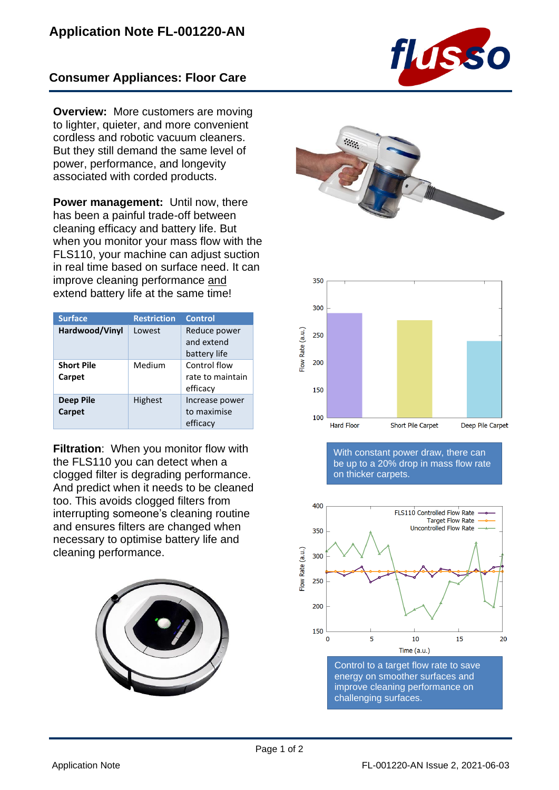## **Consumer Appliances: Floor Care**

**Overview:** More customers are moving to lighter, quieter, and more convenient cordless and robotic vacuum cleaners. But they still demand the same level of power, performance, and longevity associated with corded products.

**Power management:** Until now, there has been a painful trade-off between cleaning efficacy and battery life. But when you monitor your mass flow with the FLS110, your machine can adjust suction in real time based on surface need. It can improve cleaning performance and extend battery life at the same time!

| <b>Surface</b>              | <b>Restriction</b> | <b>Control</b>                               |
|-----------------------------|--------------------|----------------------------------------------|
| Hardwood/Vinyl              | Lowest             | Reduce power<br>and extend<br>battery life   |
| <b>Short Pile</b><br>Carpet | Medium             | Control flow<br>rate to maintain<br>efficacy |
| Deep Pile<br>Carpet         | <b>Highest</b>     | Increase power<br>to maximise<br>efficacy    |

**Filtration**: When you monitor flow with the FLS110 you can detect when a clogged filter is degrading performance. And predict when it needs to be cleaned too. This avoids clogged filters from interrupting someone's cleaning routine and ensures filters are changed when necessary to optimise battery life and cleaning performance.









With constant power draw, there can be up to a 20% drop in mass flow rate on thicker carpets.